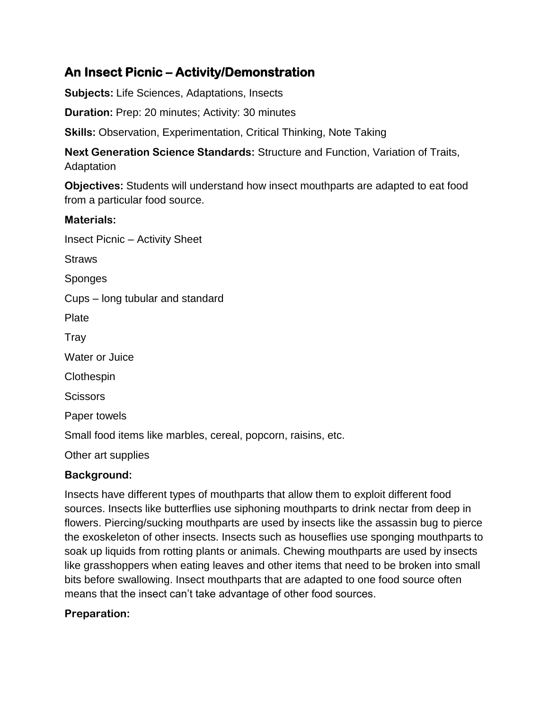# **An Insect Picnic – Activity/Demonstration**

**Subjects:** Life Sciences, Adaptations, Insects

**Duration:** Prep: 20 minutes; Activity: 30 minutes

**Skills:** Observation, Experimentation, Critical Thinking, Note Taking

**Next Generation Science Standards:** Structure and Function, Variation of Traits, Adaptation

**Objectives:** Students will understand how insect mouthparts are adapted to eat food from a particular food source.

#### **Materials:**

Insect Picnic – Activity Sheet

**Straws** 

Sponges

Cups – long tubular and standard

Plate

Tray

Water or Juice

**Clothespin** 

**Scissors** 

Paper towels

Small food items like marbles, cereal, popcorn, raisins, etc.

Other art supplies

#### **Background:**

Insects have different types of mouthparts that allow them to exploit different food sources. Insects like butterflies use siphoning mouthparts to drink nectar from deep in flowers. Piercing/sucking mouthparts are used by insects like the assassin bug to pierce the exoskeleton of other insects. Insects such as houseflies use sponging mouthparts to soak up liquids from rotting plants or animals. Chewing mouthparts are used by insects like grasshoppers when eating leaves and other items that need to be broken into small bits before swallowing. Insect mouthparts that are adapted to one food source often means that the insect can't take advantage of other food sources.

### **Preparation:**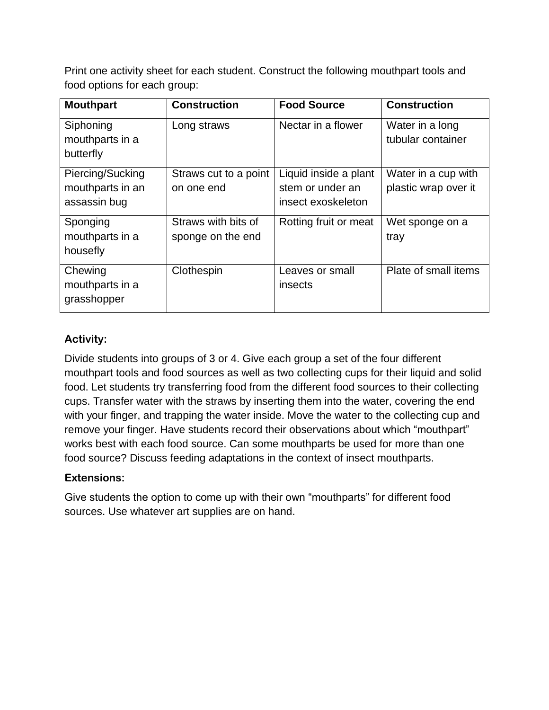Print one activity sheet for each student. Construct the following mouthpart tools and food options for each group:

| <b>Mouthpart</b>                                     | <b>Construction</b>                      | <b>Food Source</b>                                              | <b>Construction</b>                         |
|------------------------------------------------------|------------------------------------------|-----------------------------------------------------------------|---------------------------------------------|
| Siphoning<br>mouthparts in a                         | Long straws                              | Nectar in a flower                                              | Water in a long<br>tubular container        |
| butterfly                                            |                                          |                                                                 |                                             |
| Piercing/Sucking<br>mouthparts in an<br>assassin bug | Straws cut to a point<br>on one end      | Liquid inside a plant<br>stem or under an<br>insect exoskeleton | Water in a cup with<br>plastic wrap over it |
| Sponging<br>mouthparts in a<br>housefly              | Straws with bits of<br>sponge on the end | Rotting fruit or meat                                           | Wet sponge on a<br>tray                     |
| Chewing<br>mouthparts in a<br>grasshopper            | Clothespin                               | Leaves or small<br>insects                                      | Plate of small items                        |

## **Activity:**

Divide students into groups of 3 or 4. Give each group a set of the four different mouthpart tools and food sources as well as two collecting cups for their liquid and solid food. Let students try transferring food from the different food sources to their collecting cups. Transfer water with the straws by inserting them into the water, covering the end with your finger, and trapping the water inside. Move the water to the collecting cup and remove your finger. Have students record their observations about which "mouthpart" works best with each food source. Can some mouthparts be used for more than one food source? Discuss feeding adaptations in the context of insect mouthparts.

### **Extensions:**

Give students the option to come up with their own "mouthparts" for different food sources. Use whatever art supplies are on hand.